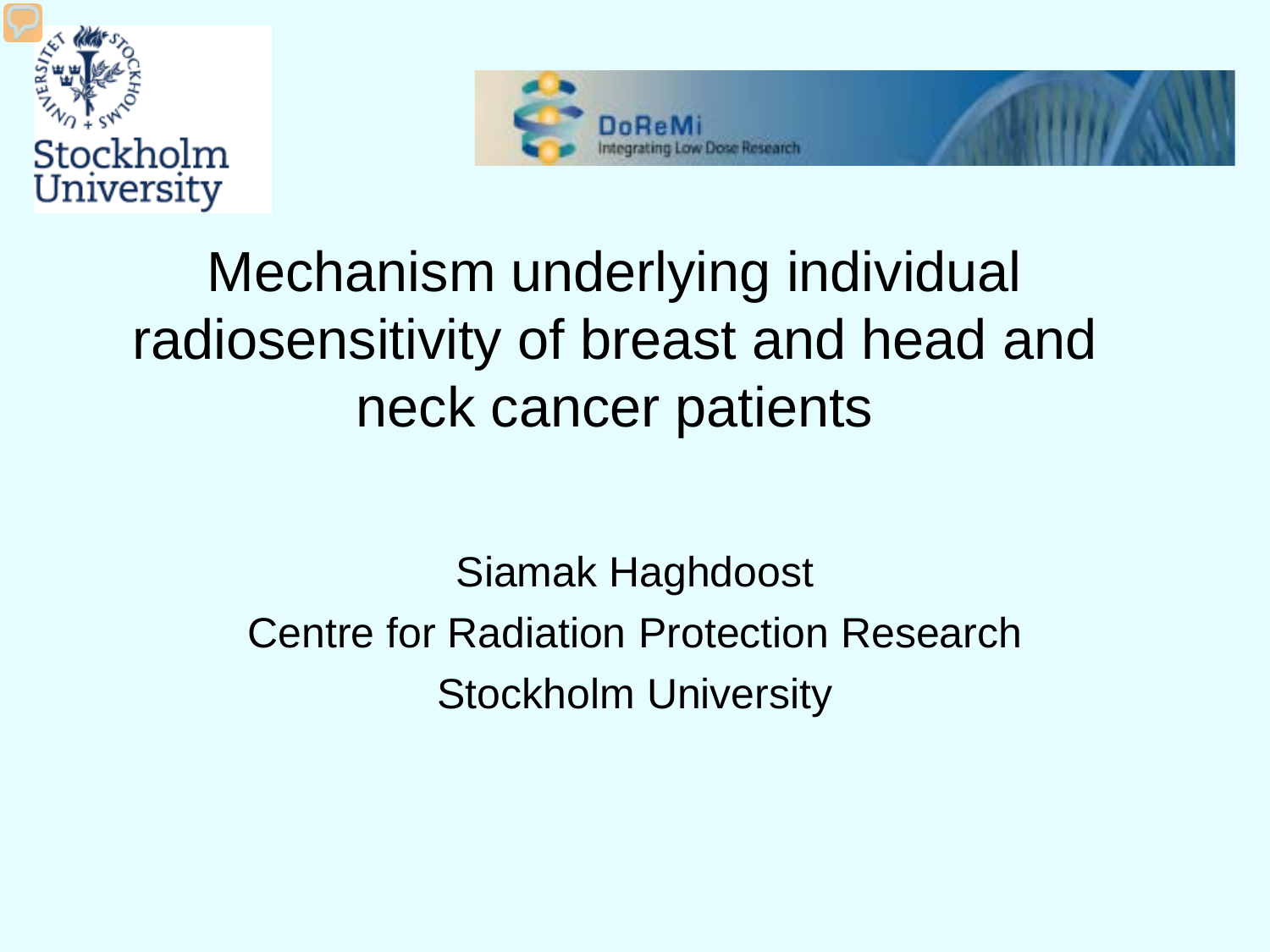



## Mechanism underlying individual radiosensitivity of breast and head and neck cancer patients

Siamak Haghdoost Centre for Radiation Protection Research Stockholm University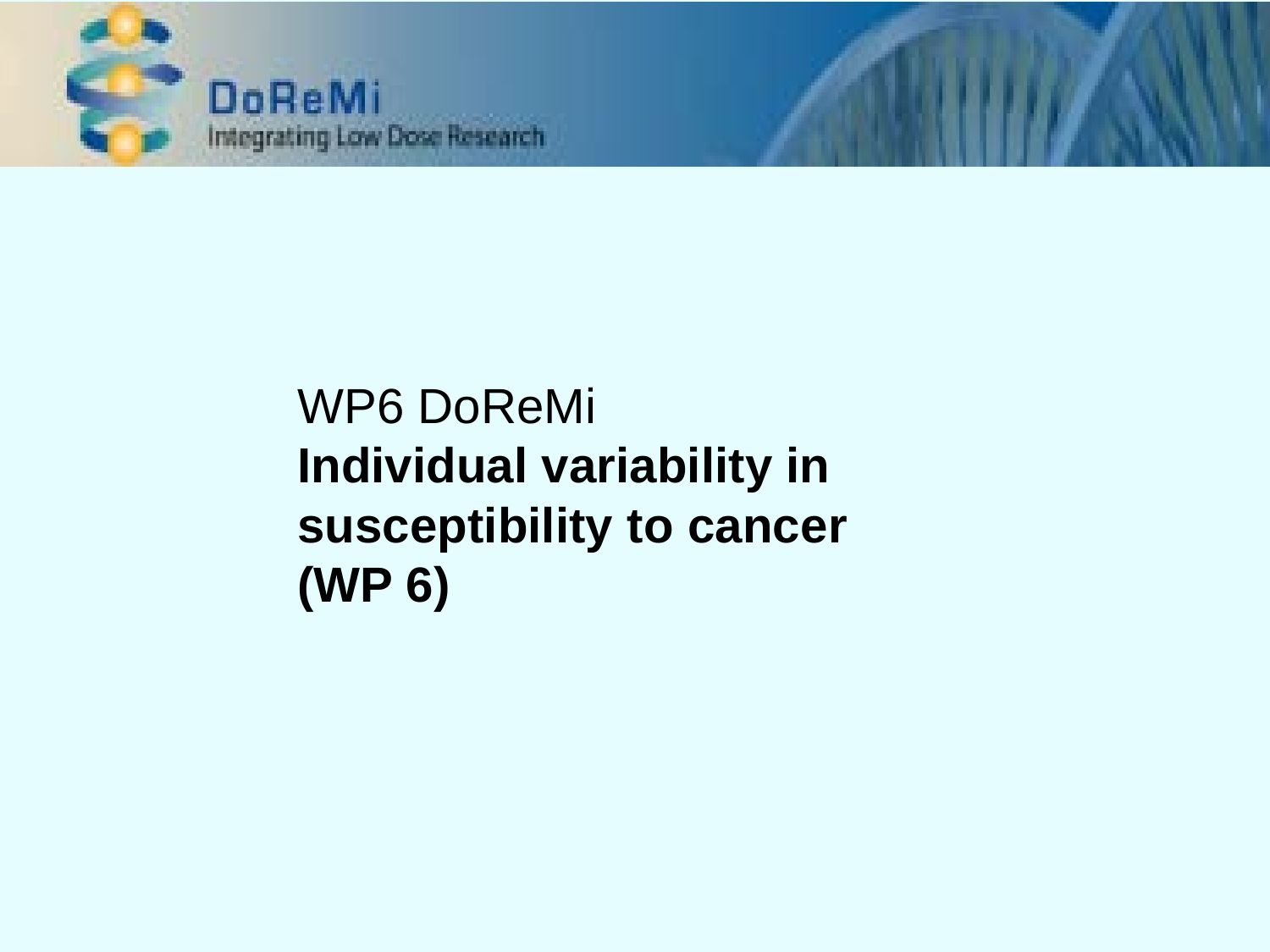

## WP6 DoReMi **Individual variability in susceptibility to cancer (WP 6)**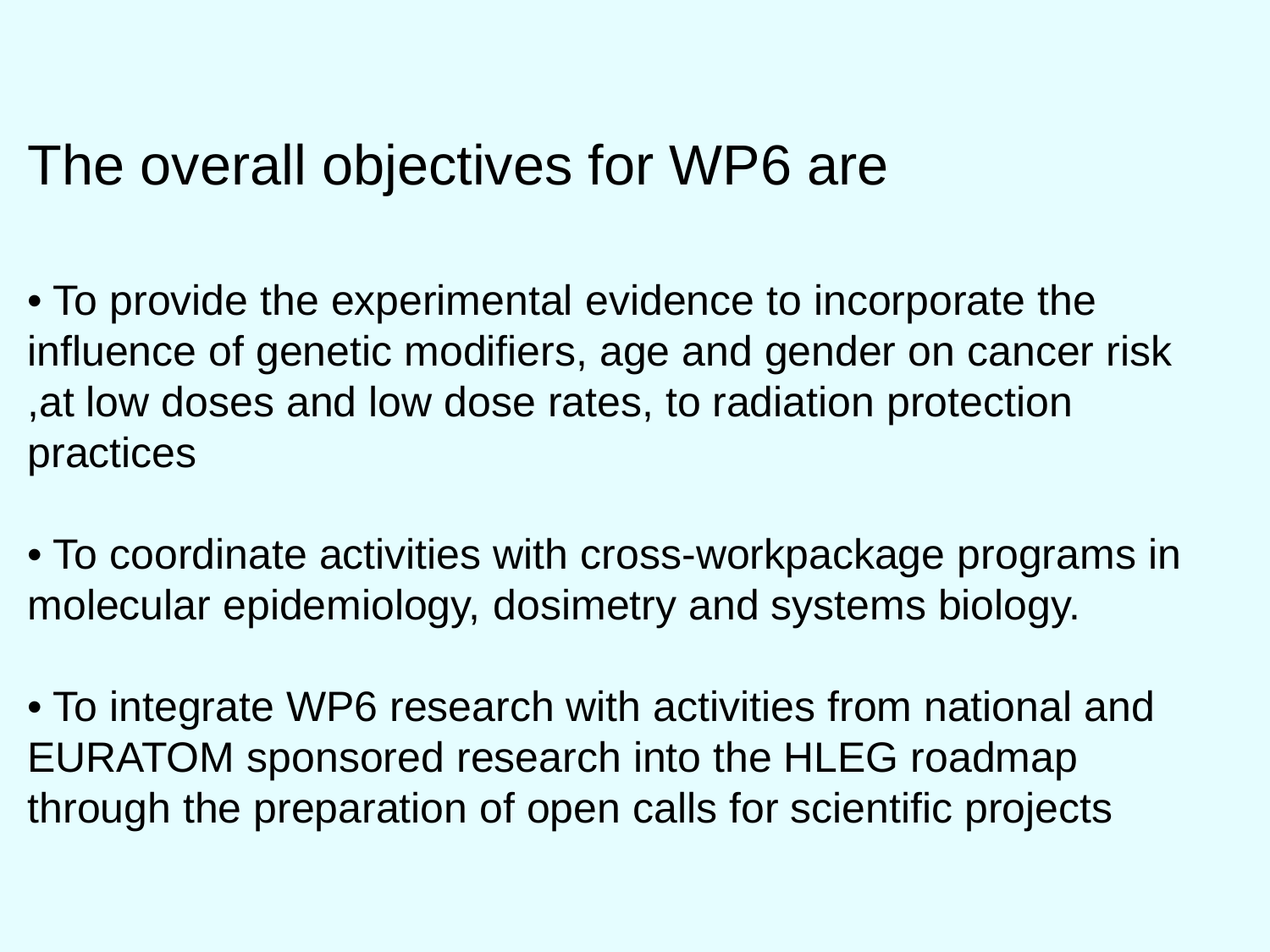### The overall objectives for WP6 are

• To provide the experimental evidence to incorporate the influence of genetic modifiers, age and gender on cancer risk ,at low doses and low dose rates, to radiation protection practices

• To coordinate activities with cross-workpackage programs in molecular epidemiology, dosimetry and systems biology.

• To integrate WP6 research with activities from national and EURATOM sponsored research into the HLEG roadmap through the preparation of open calls for scientific projects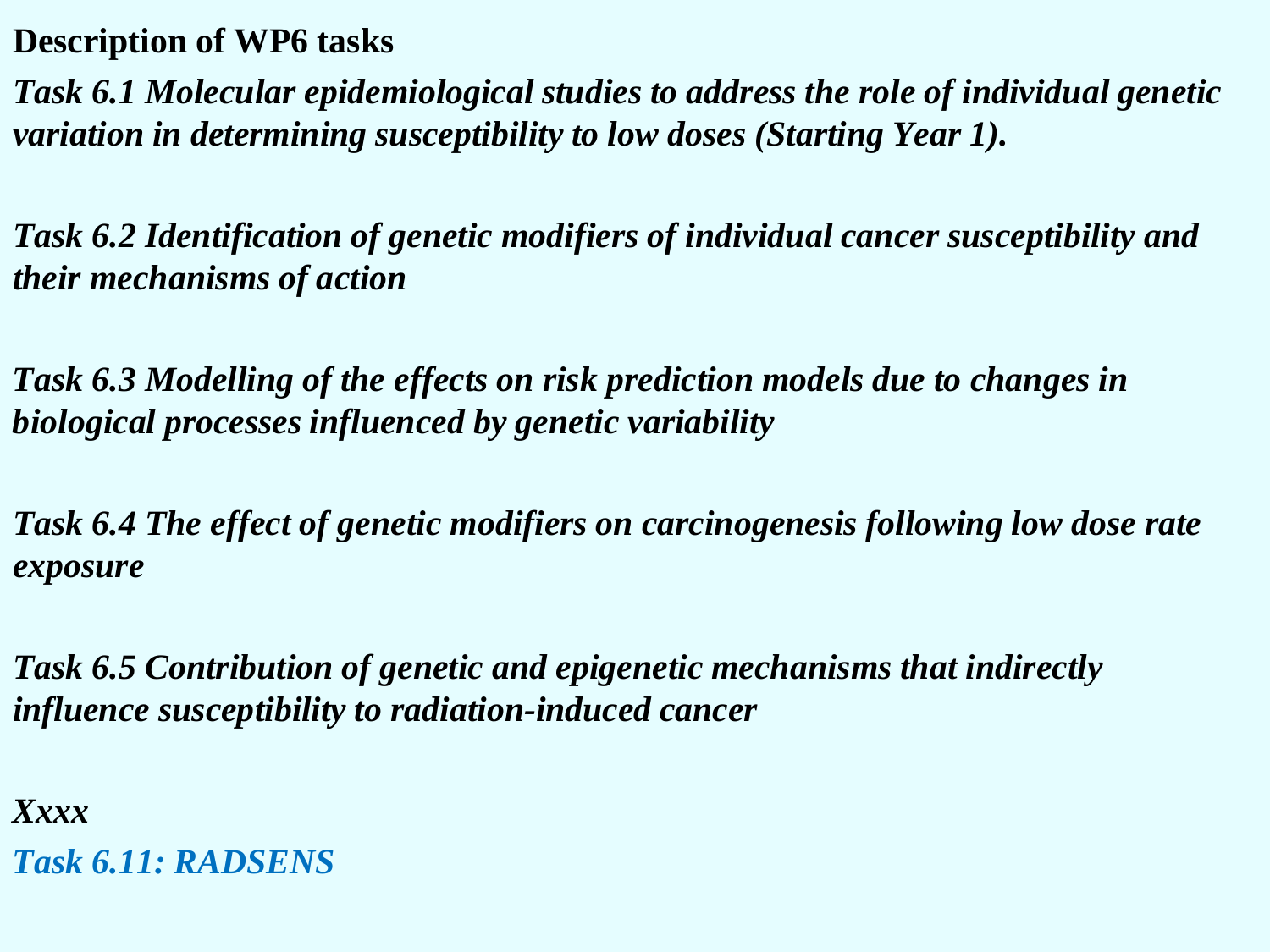**Description of WP6 tasks**

*Task 6.1 Molecular epidemiological studies to address the role of individual genetic variation in determining susceptibility to low doses (Starting Year 1).* 

*Task 6.2 Identification of genetic modifiers of individual cancer susceptibility and their mechanisms of action*

*Task 6.3 Modelling of the effects on risk prediction models due to changes in biological processes influenced by genetic variability*

*Task 6.4 The effect of genetic modifiers on carcinogenesis following low dose rate exposure*

*Task 6.5 Contribution of genetic and epigenetic mechanisms that indirectly influence susceptibility to radiation-induced cancer*

*Xxxx Task 6.11: RADSENS*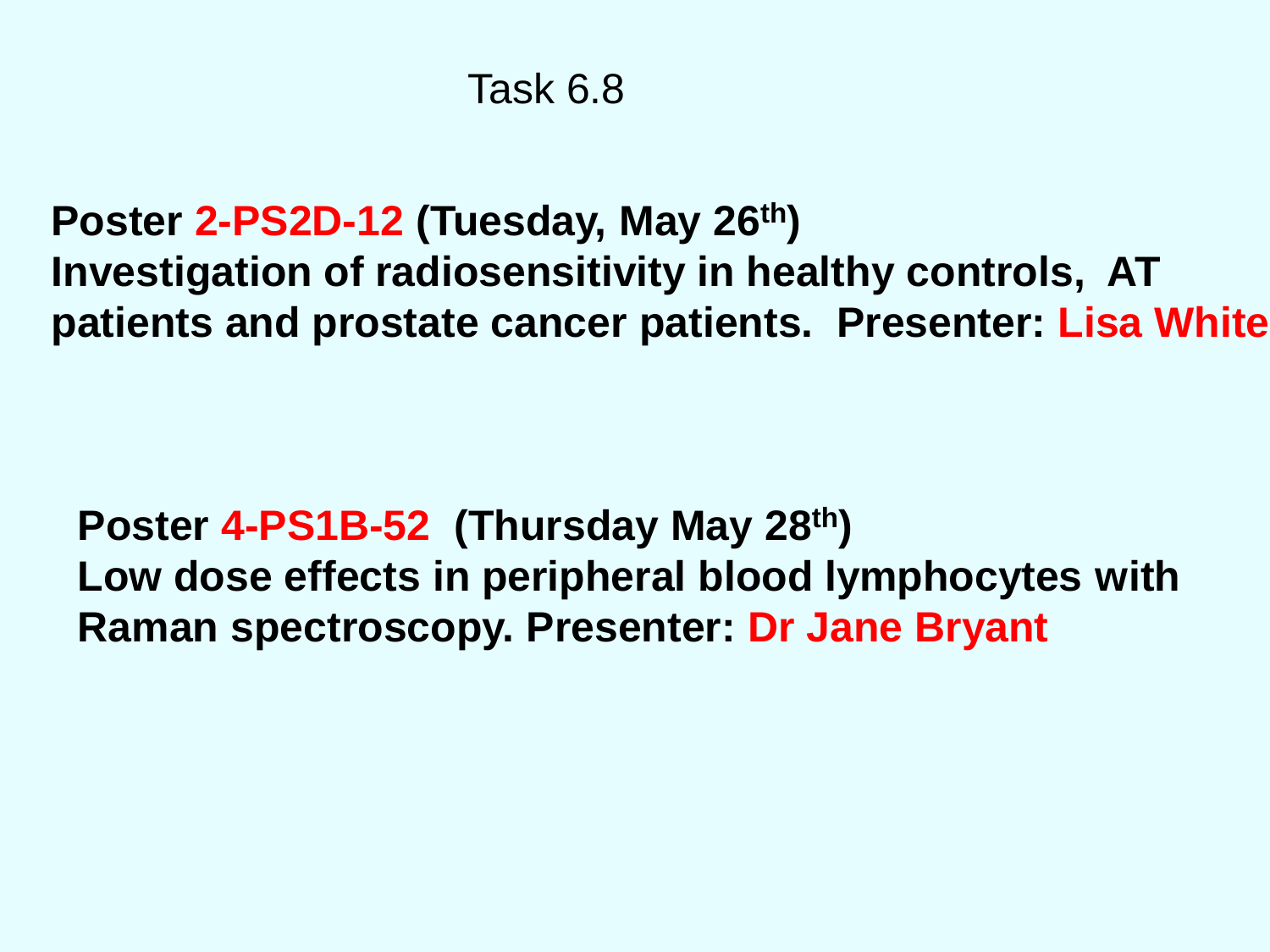```
Poster 2-PS2D-12 (Tuesday, May 26th) 
Investigation of radiosensitivity in healthy controls, AT 
patients and prostate cancer patients. Presenter: Lisa White
```
### **Poster 4-PS1B-52 (Thursday May 28th) Low dose effects in peripheral blood lymphocytes with Raman spectroscopy. Presenter: Dr Jane Bryant**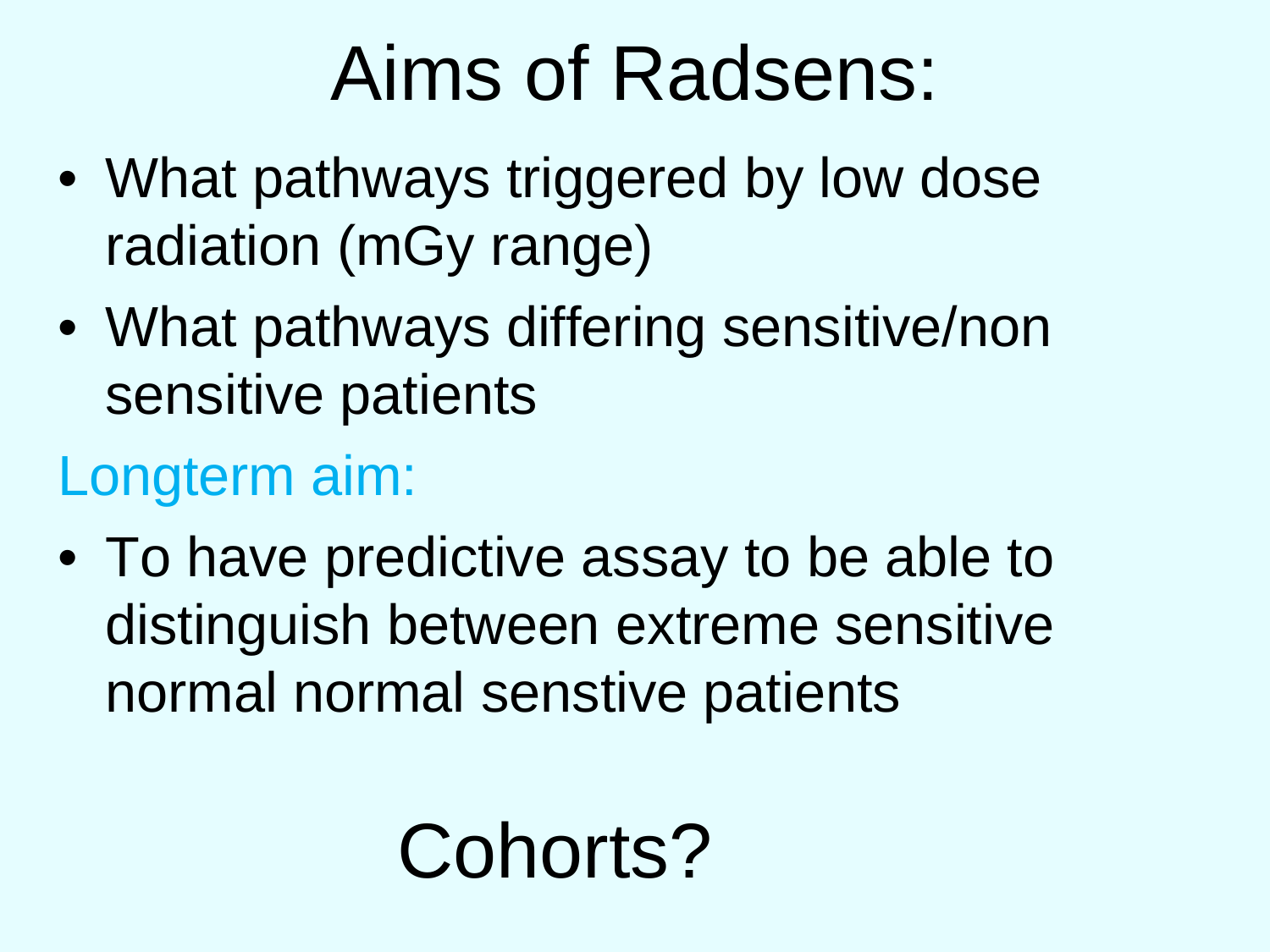# Aims of Radsens:

- What pathways triggered by low dose radiation (mGy range)
- What pathways differing sensitive/non sensitive patients

## Longterm aim:

• To have predictive assay to be able to distinguish between extreme sensitive normal normal senstive patients

# Cohorts?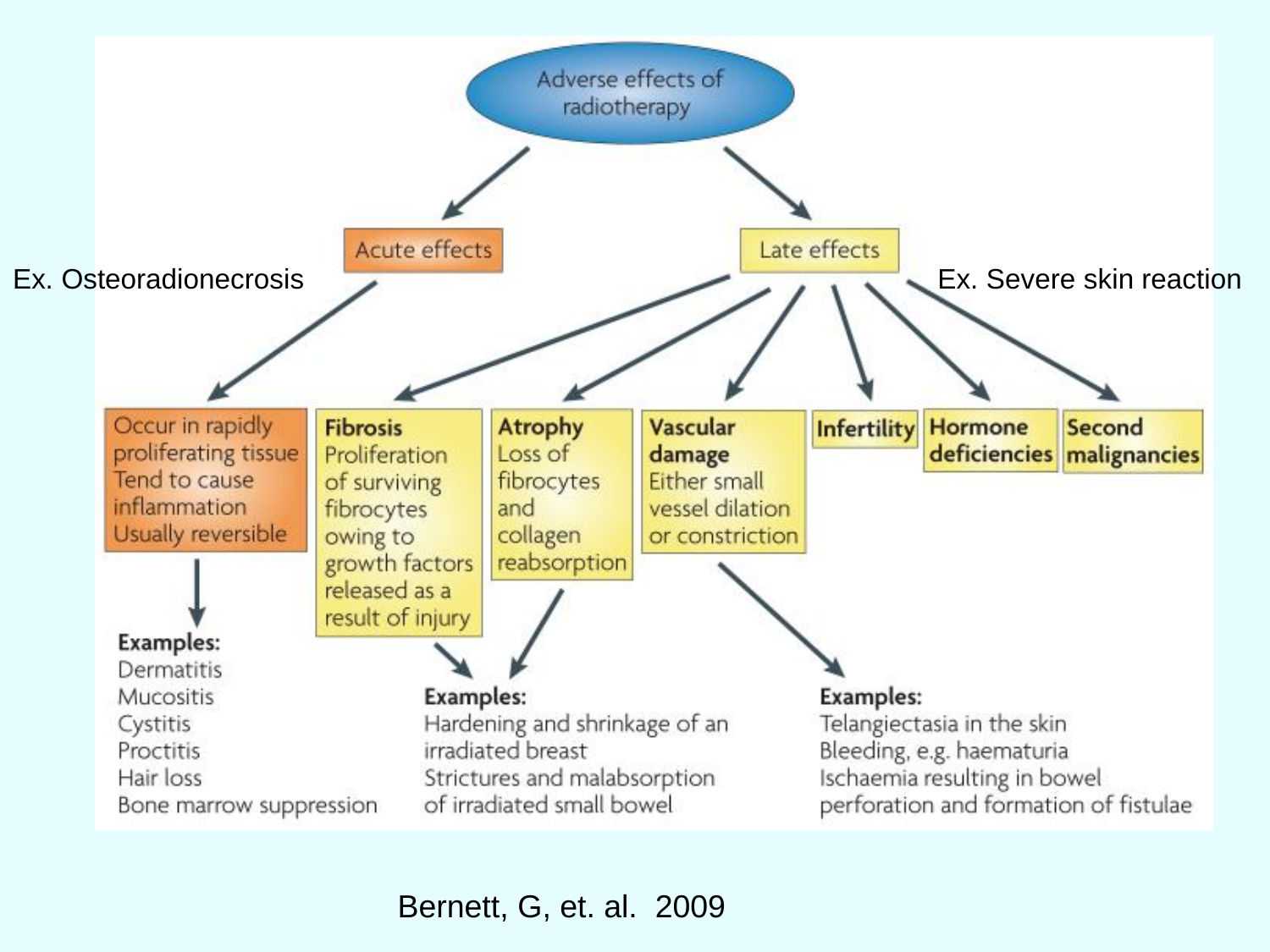

Bernett, G, et. al. 2009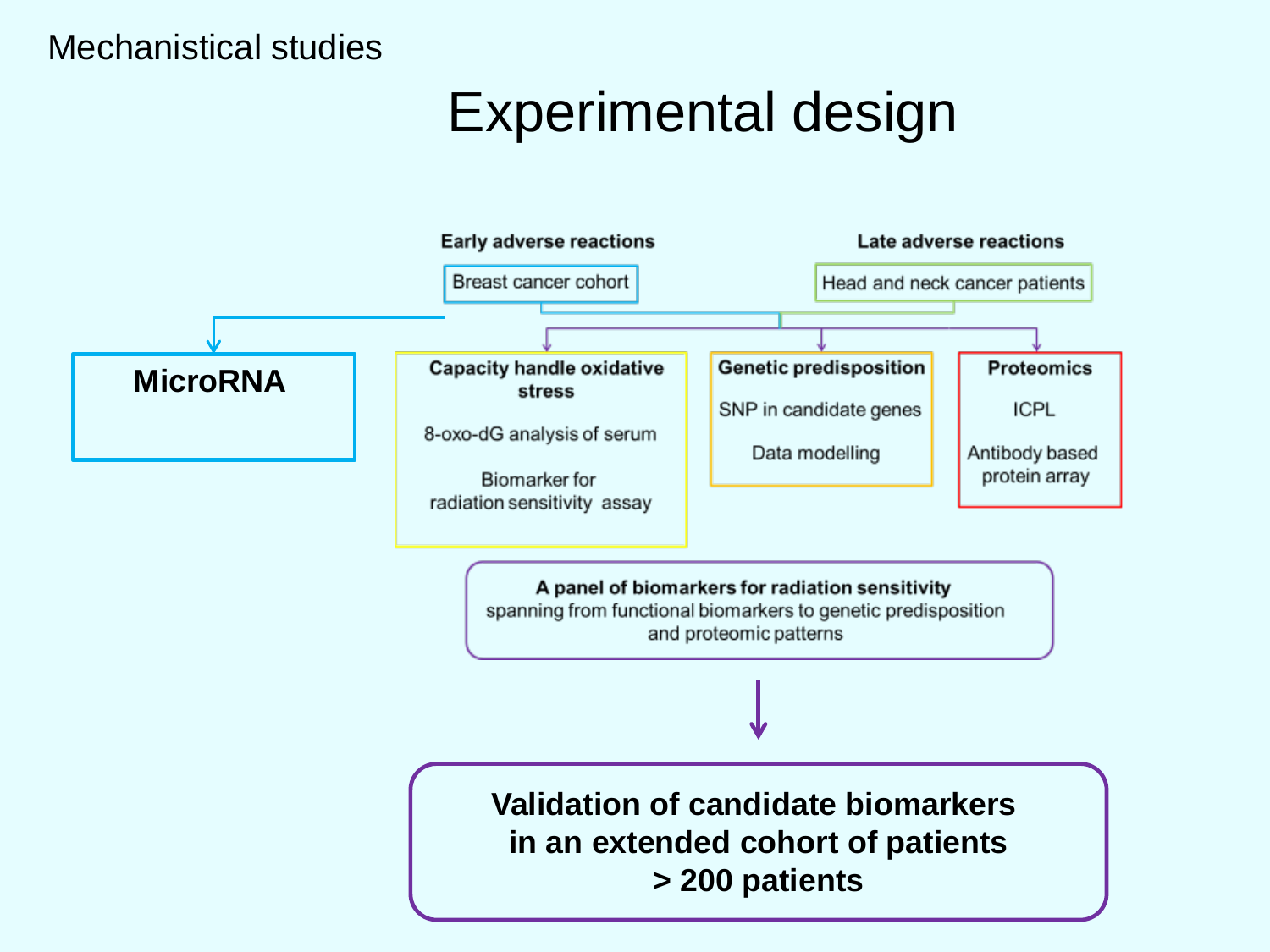### Mechanistical studies

## Experimental design

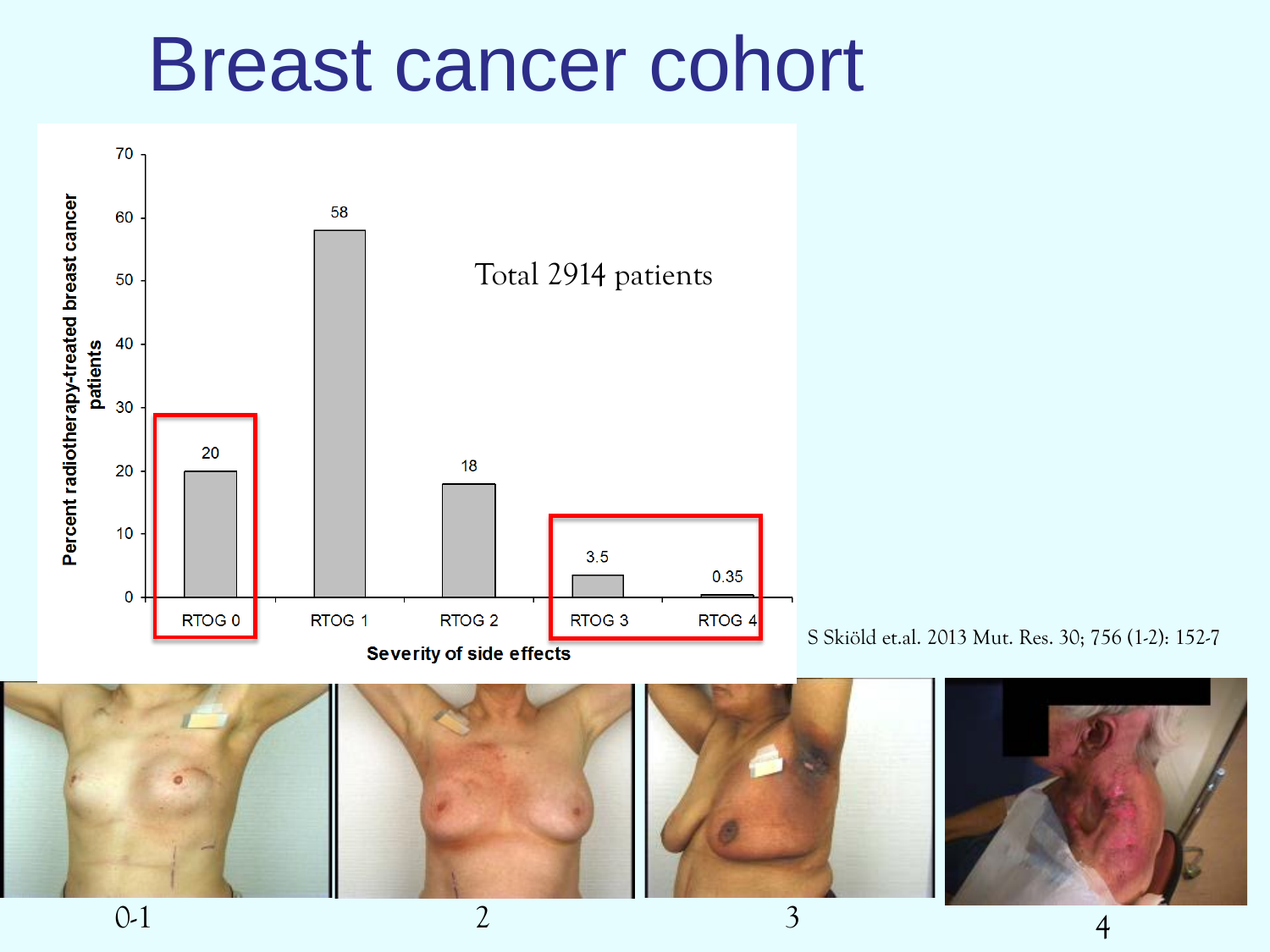## Breast cancer cohort



S Skiöld et.al. 2013 Mut. Res. 30; 756 (1-2): 152-7

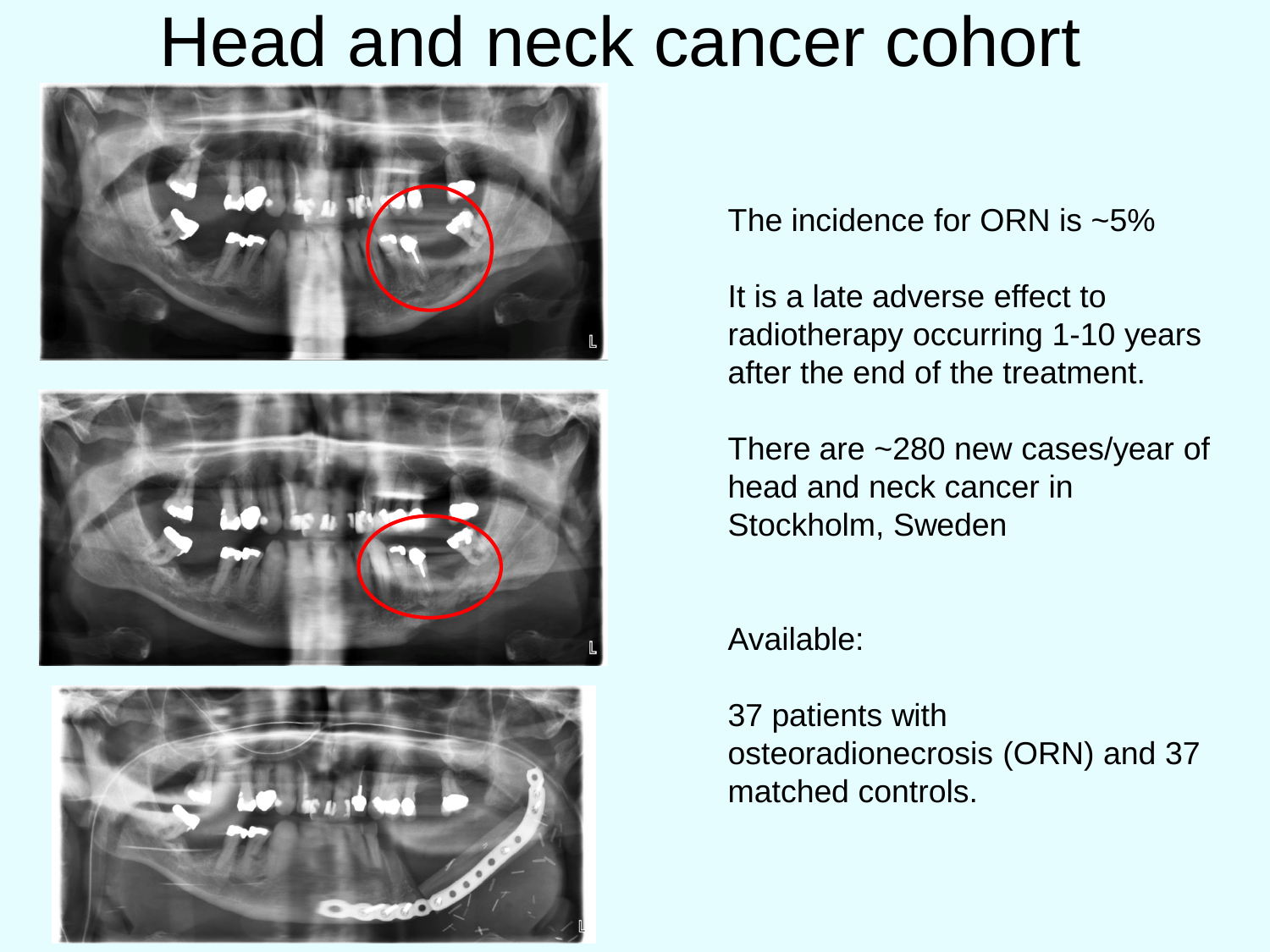## Head and neck cancer cohort







The incidence for ORN is ~5%

It is a late adverse effect to radiotherapy occurring 1-10 years after the end of the treatment.

There are ~280 new cases/year of head and neck cancer in Stockholm, Sweden

Available:

37 patients with osteoradionecrosis (ORN) and 37 matched controls.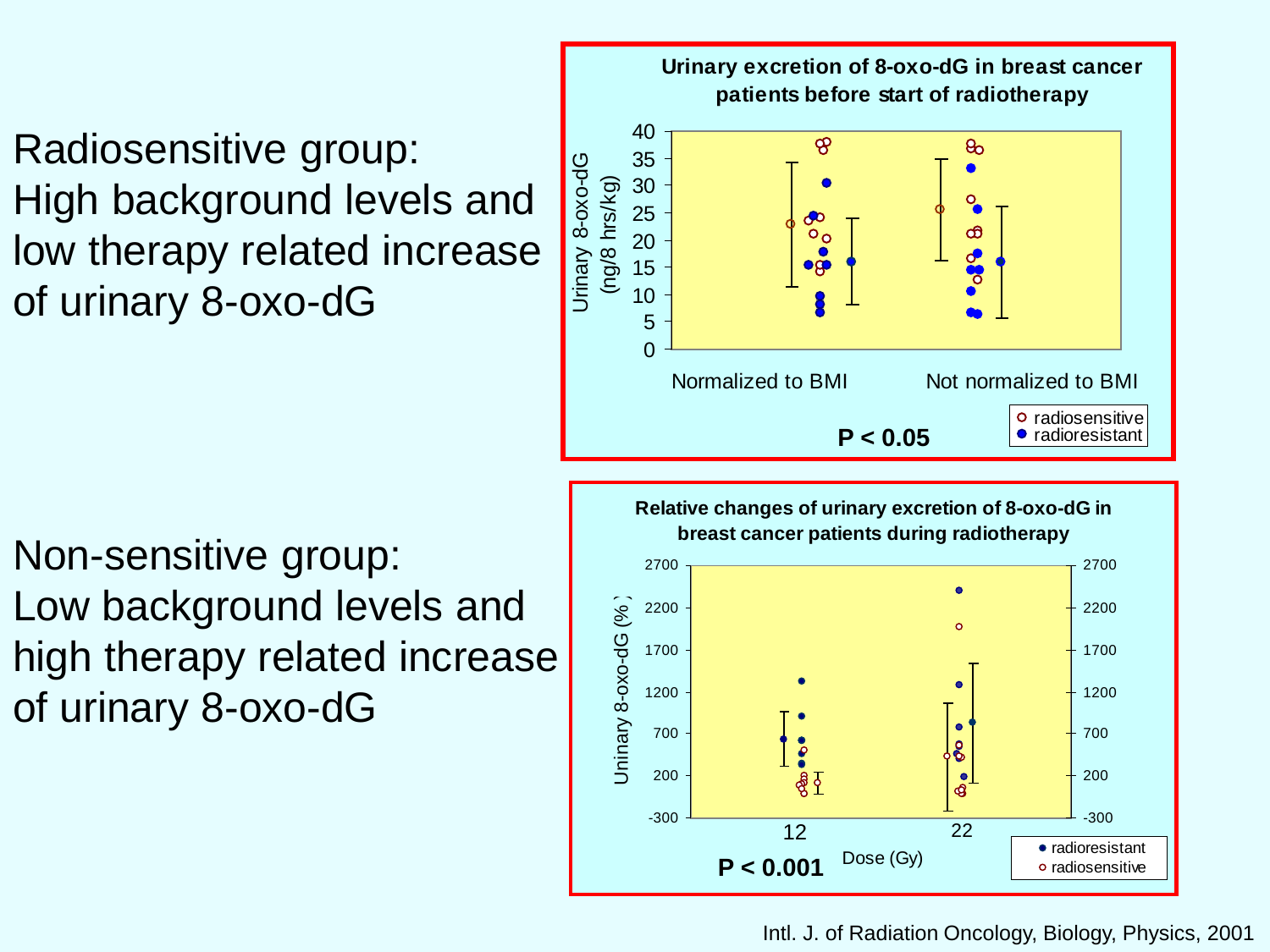Radiosensitive group: High background levels and low therapy related increase of urinary 8-oxo-dG



Non-sensitive group: Low background levels and high therapy related increase of urinary 8-oxo-dG



#### Intl. J. of Radiation Oncology, Biology, Physics, 2001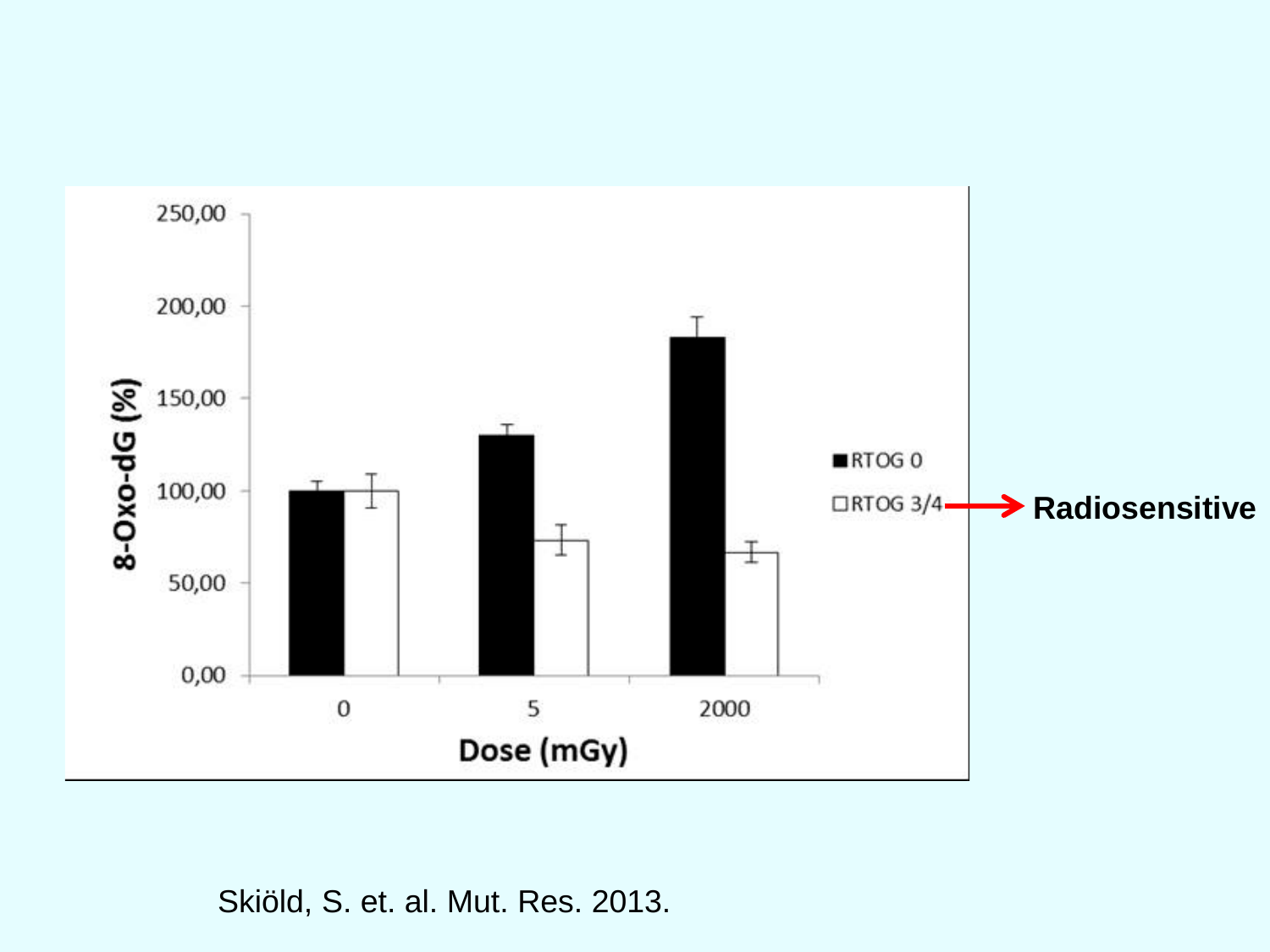

Skiöld, S. et. al. Mut. Res. 2013.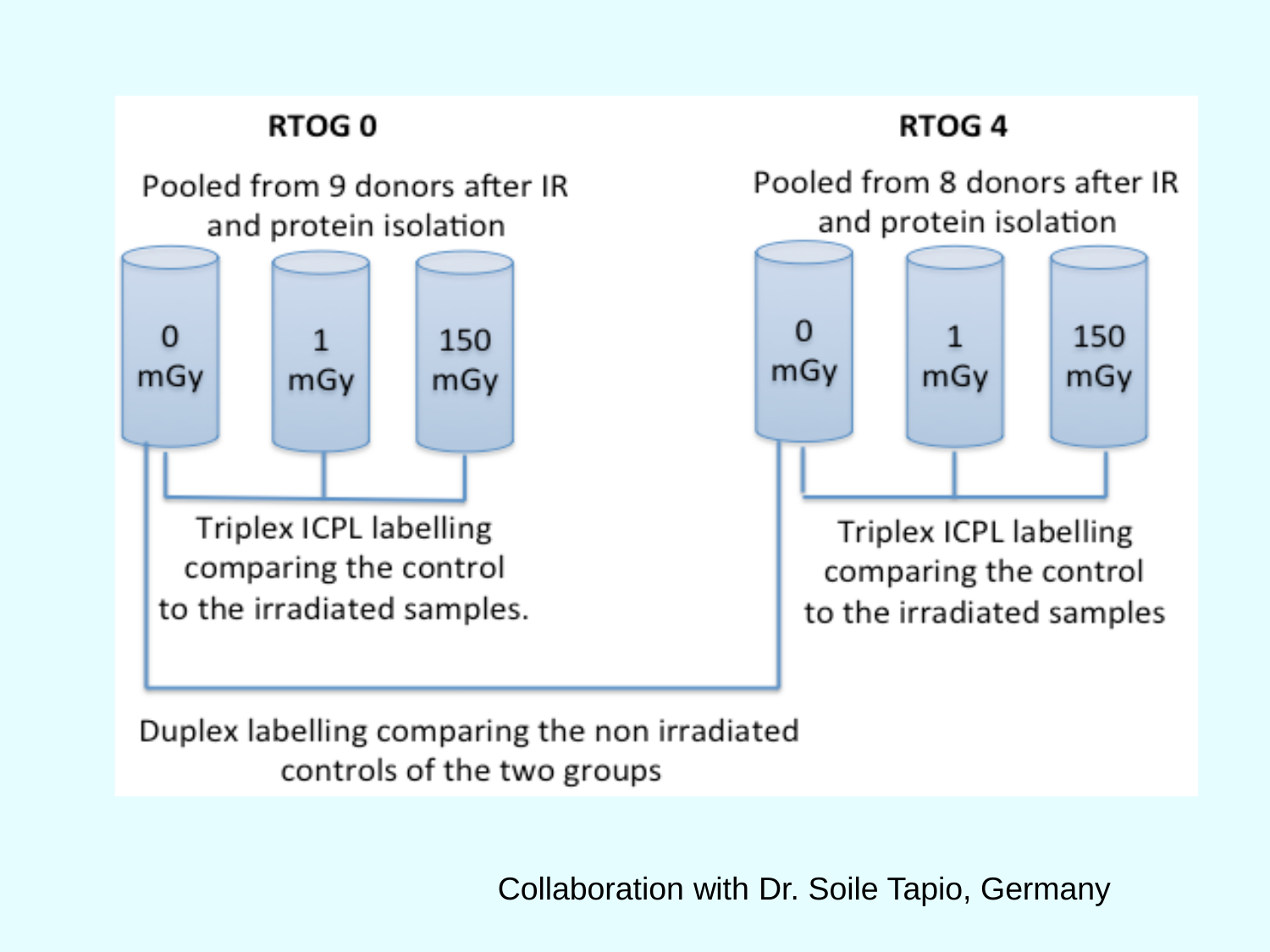### **RTOG0** Pooled from 9 donors after IR and protein isolation  $\Omega$  $\mathbf{1}$ 150 mGy mGy mGy Triplex ICPL labelling comparing the control to the irradiated samples.

### RTOG<sub>4</sub>



Triplex ICPL labelling comparing the control to the irradiated samples

Duplex labelling comparing the non irradiated controls of the two groups

Collaboration with Dr. Soile Tapio, Germany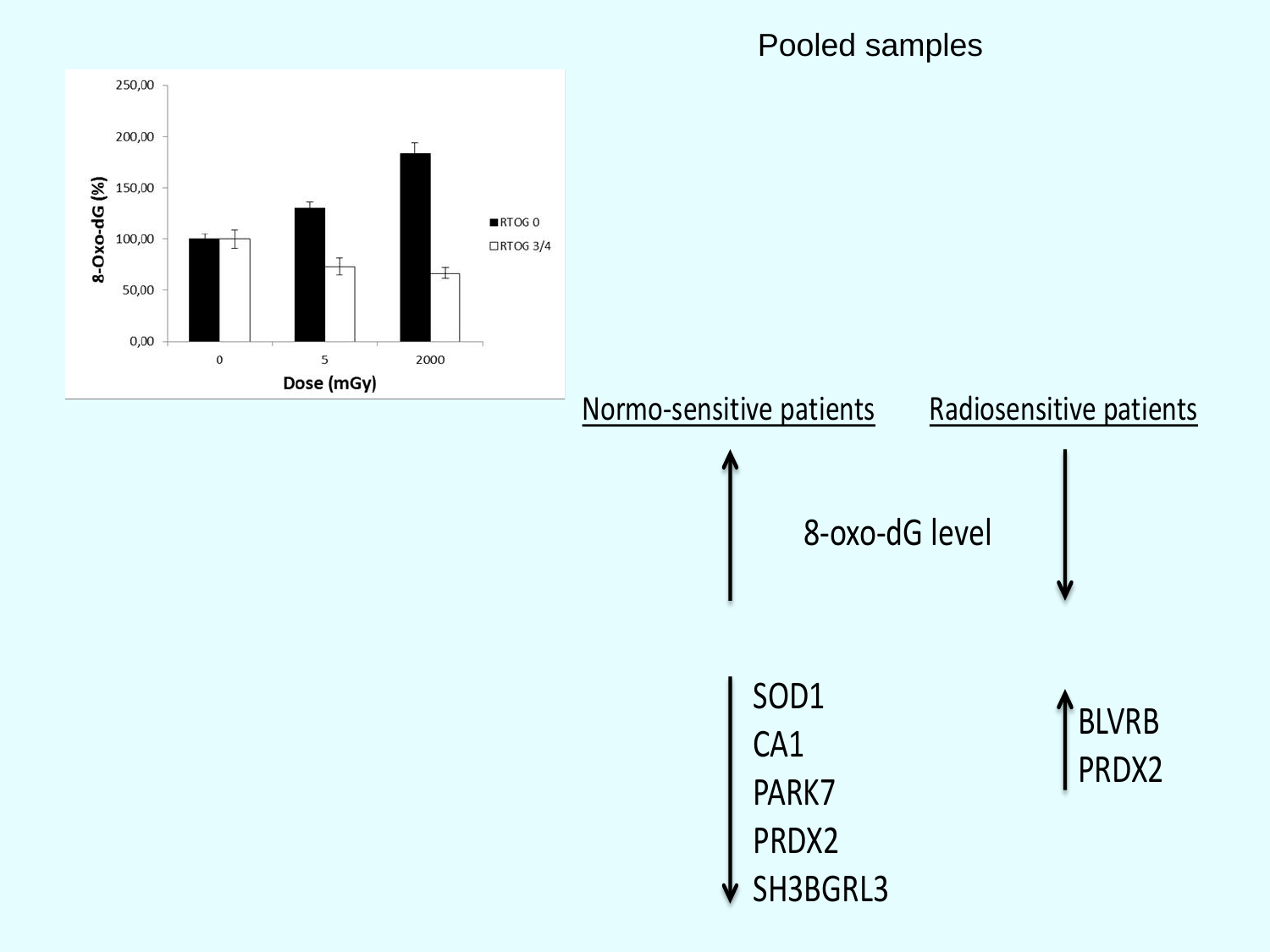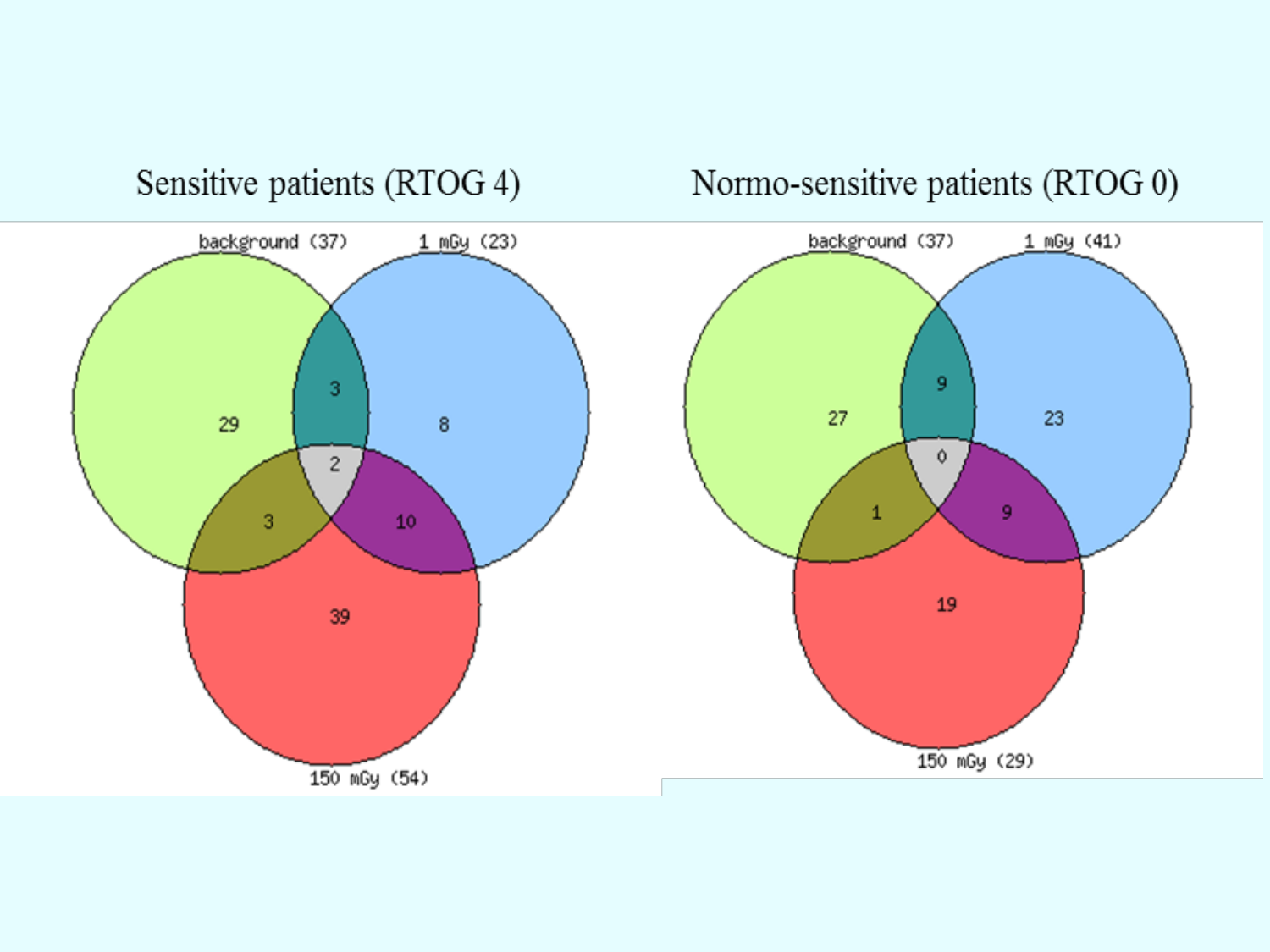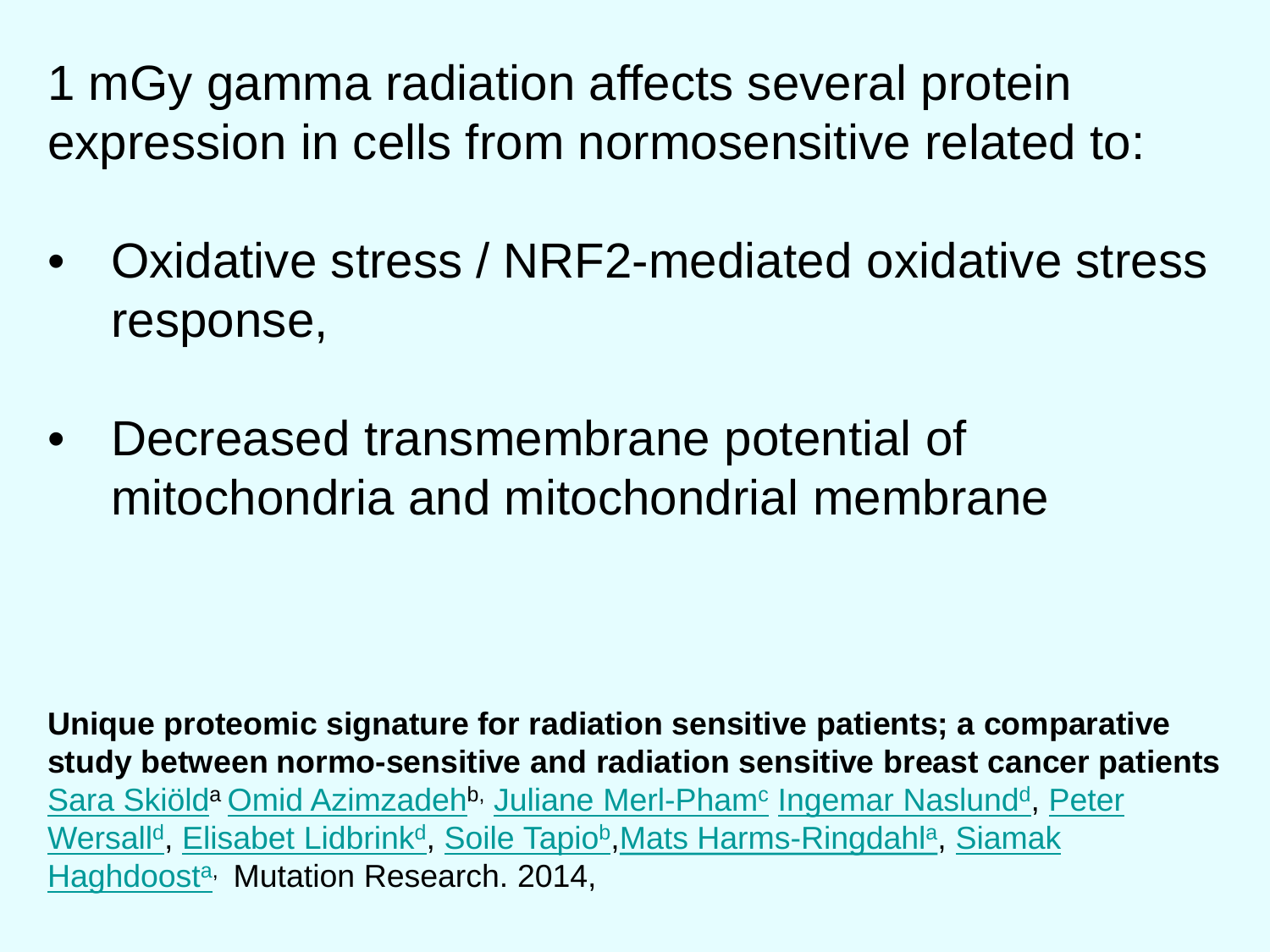1 mGy gamma radiation affects several protein expression in cells from normosensitive related to:

- Oxidative stress / NRF2-mediated oxidative stress response,
- Decreased transmembrane potential of mitochondria and mitochondrial membrane

**Unique proteomic signature for radiation sensitive patients; a comparative study between normo-sensitive and radiation sensitive breast cancer patients** <u>[Sara Skiölda](http://www.sciencedirect.com/science/article/pii/S0027510714002085) [Omid](http://www.sciencedirect.com/science/article/pii/S0027510714002085) [Azimzadehb](http://www.sciencedirect.com/science/article/pii/S0027510714002085), [Juliane Merl-Pham](http://www.sciencedirect.com/science/article/pii/S0027510714002085)e [Ingemar Naslund](http://www.sciencedirect.com/science/article/pii/S0027510714002085)[d](http://www.sciencedirect.com/science/article/pii/S0027510714002085%23aff0020), Peter</u> <u>[Wersall](http://www.sciencedirect.com/science/article/pii/S0027510714002085)<sup>[d](http://www.sciencedirect.com/science/article/pii/S0027510714002085%23aff0020)</sup>, [Elisabet Lidbrink](http://www.sciencedirect.com/science/article/pii/S0027510714002085)<sup>d</sup>, [Soile Tapio](http://www.sciencedirect.com/science/article/pii/S0027510714002085)<sup>[b](http://www.sciencedirect.com/science/article/pii/S0027510714002085%23aff0010)</sup>[,Mats](http://www.sciencedirect.com/science/article/pii/S0027510714002085) [Harms-Ringdahl](http://www.sciencedirect.com/science/article/pii/S0027510714002085)<sup>[a](http://www.sciencedirect.com/science/article/pii/S0027510714002085%23aff0005)</sup>, <u>[Siamak](http://www.sciencedirect.com/science/article/pii/S0027510714002085)</u></u> [Haghdoost](http://www.sciencedirect.com/science/article/pii/S0027510714002085)<sup>[a](http://www.sciencedirect.com/science/article/pii/S0027510714002085%23aff0005),</sup> Mutation Research. 2014,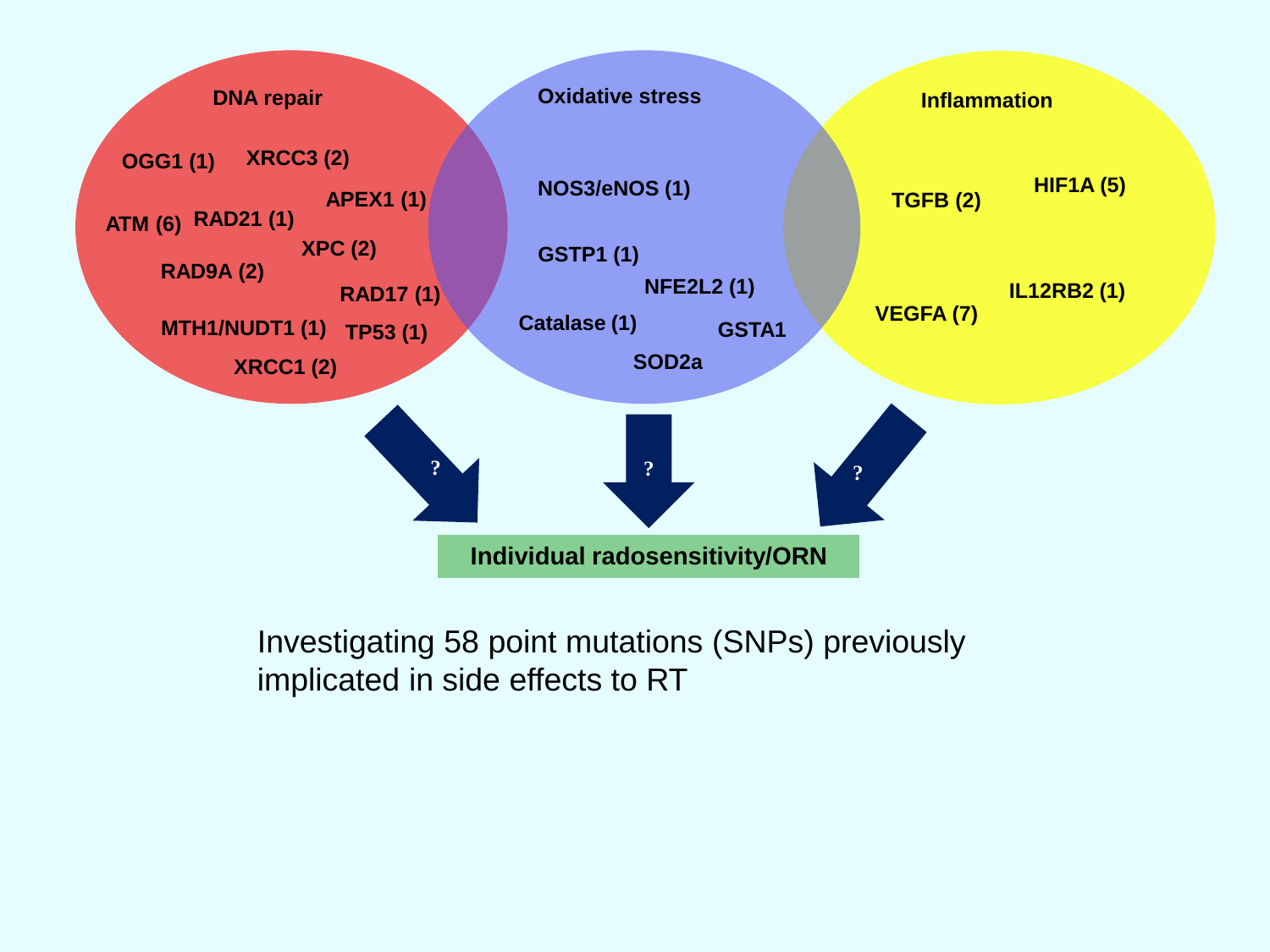

Investigating 58 point mutations (SNPs) previously implicated in side effects to RT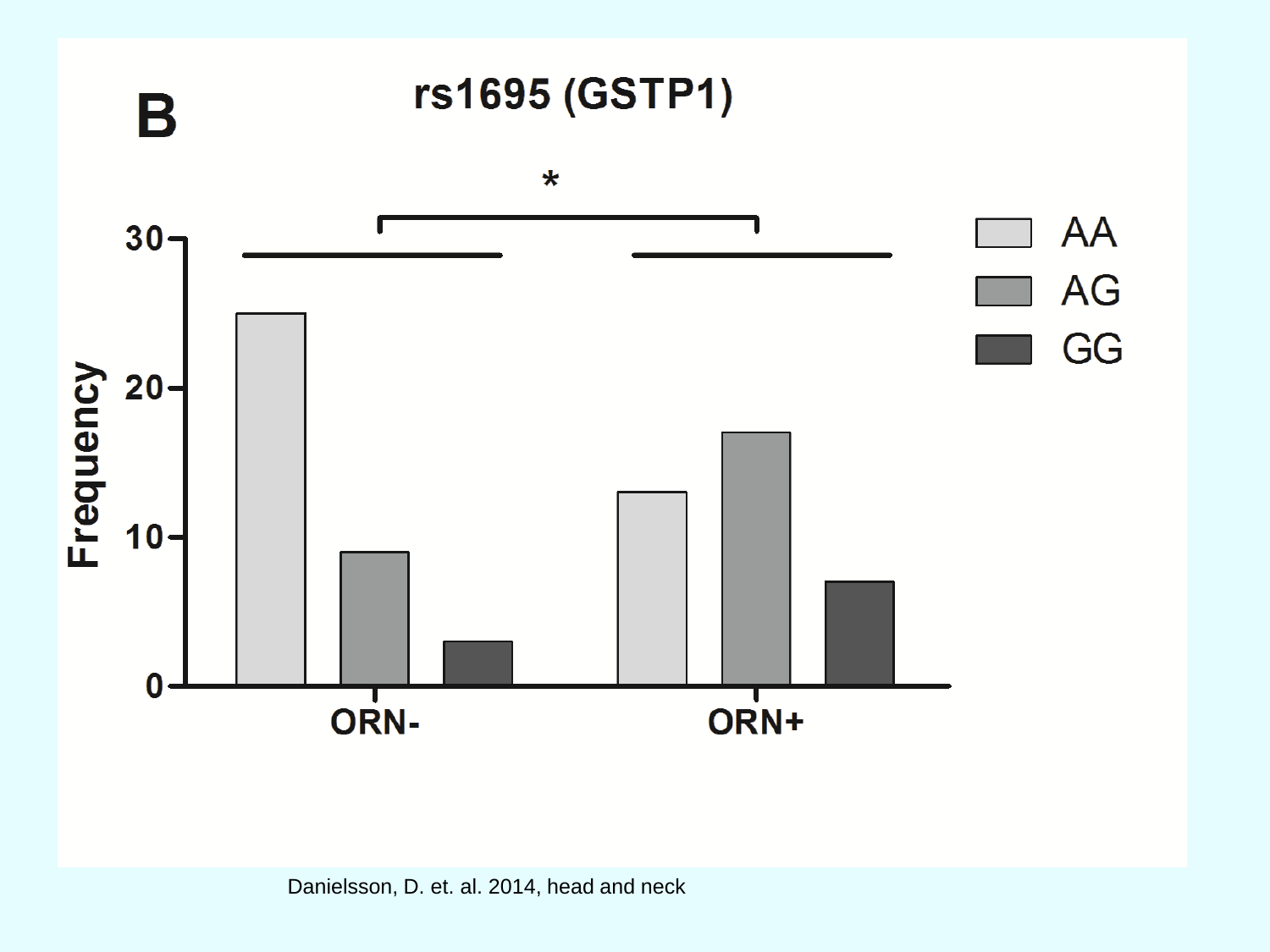

Danielsson, D. et. al. 2014, head and neck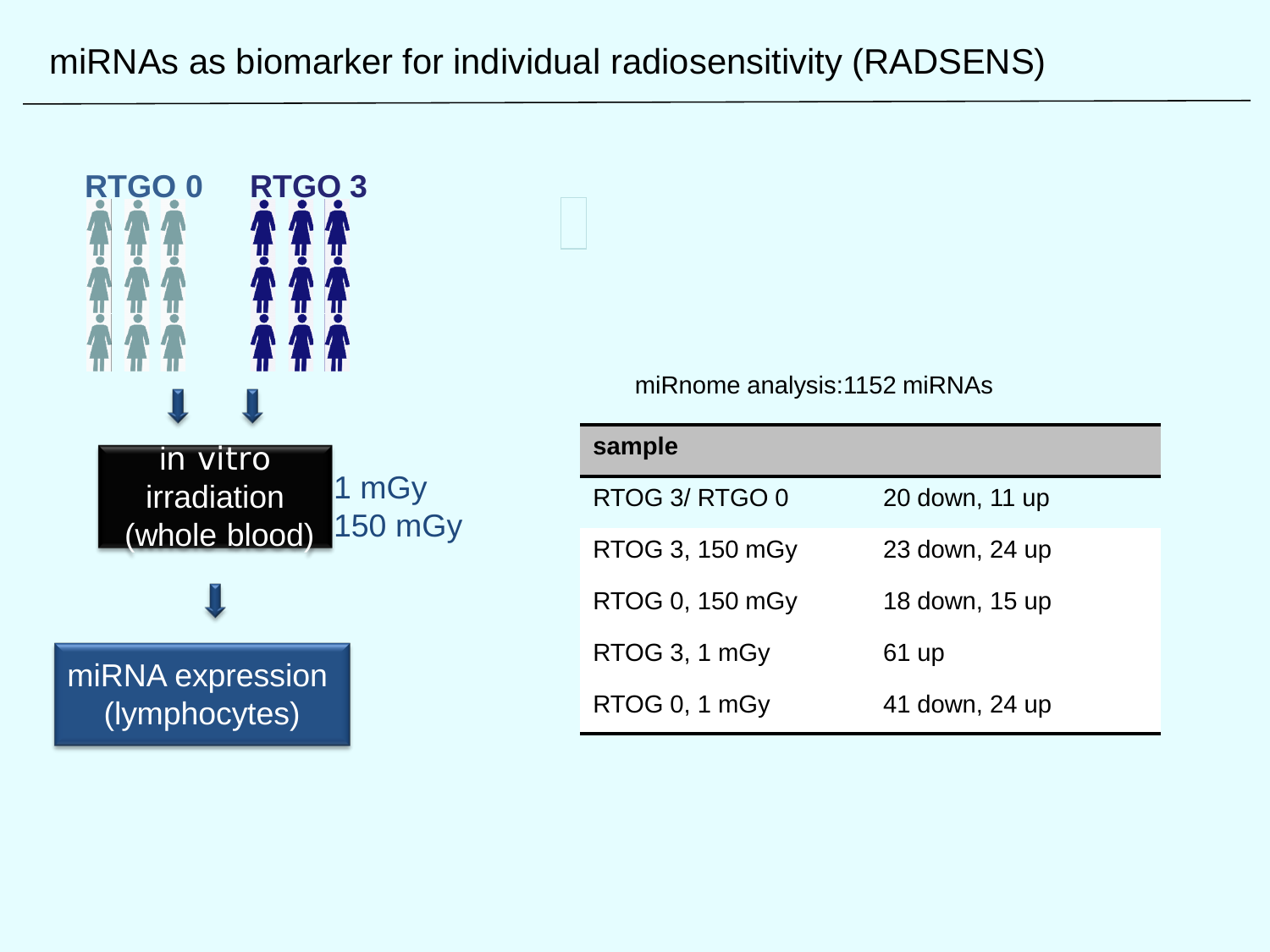### miRNAs as biomarker for individual radiosensitivity (RADSENS)



miRnome analysis:1152 miRNAs

| sample          |                |
|-----------------|----------------|
| RTOG 3/ RTGO 0  | 20 down, 11 up |
| RTOG 3, 150 mGy | 23 down, 24 up |
| RTOG 0, 150 mGy | 18 down, 15 up |
| RTOG 3, 1 mGy   | 61 up          |
| RTOG 0, 1 mGy   | 41 down, 24 up |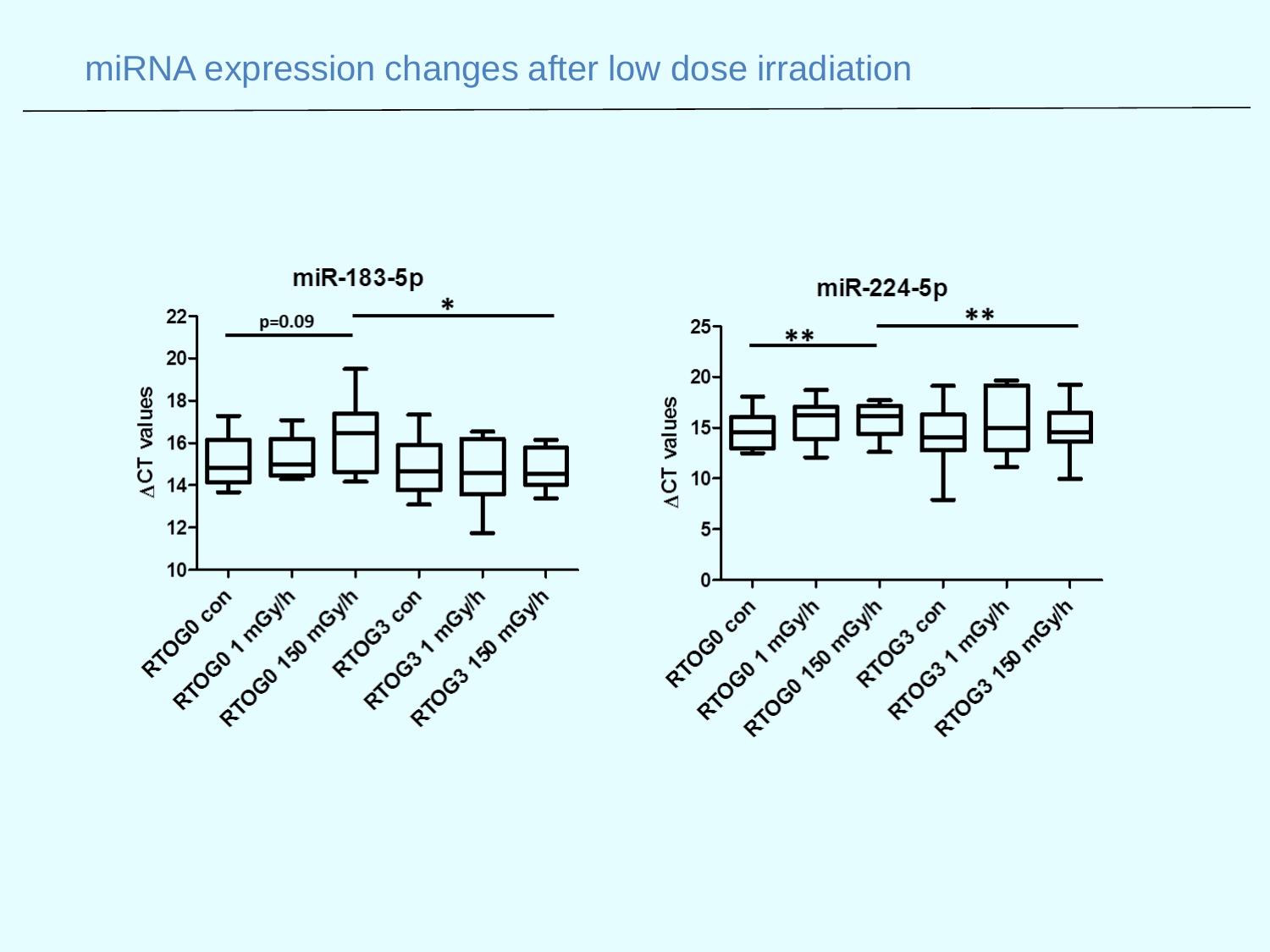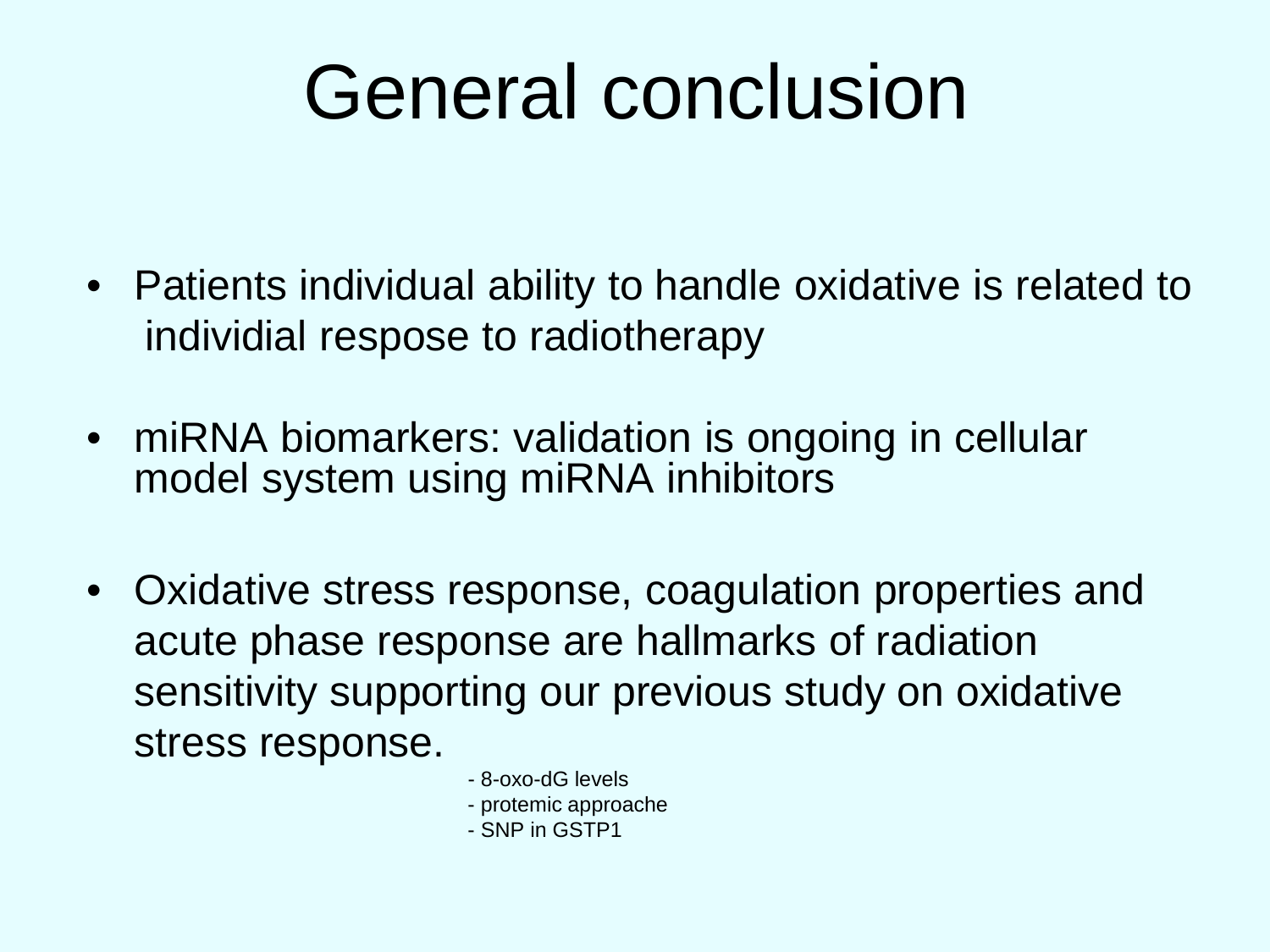# General conclusion

- Patients individual ability to handle oxidative is related to individial respose to radiotherapy
- miRNA biomarkers: validation is ongoing in cellular model system using miRNA inhibitors
- Oxidative stress response, coagulation properties and acute phase response are hallmarks of radiation sensitivity supporting our previous study on oxidative stress response.
	- 8-oxo-dG levels
	- protemic approache
	- SNP in GSTP1